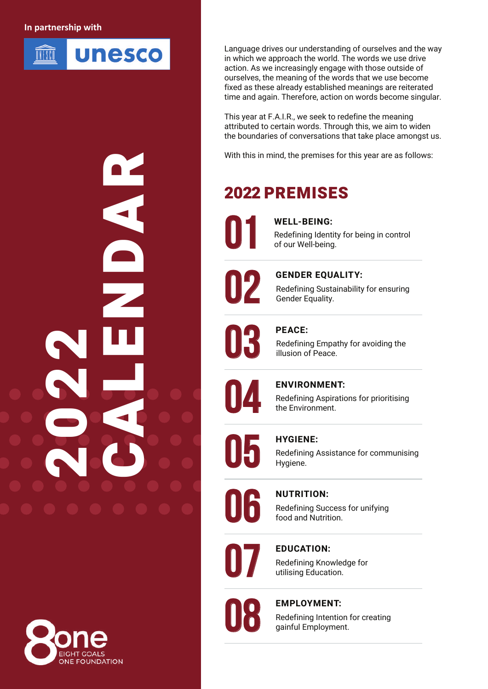# **In partnership with**



Language drives our understanding of ourselves and the way in which we approach the world. The words we use drive action. As we increasingly engage with those outside of ourselves, the meaning of the words that we use become fixed as these already established meanings are reiterated time and again. Therefore, action on words become singular.

This year at F.A.I.R., we seek to redefine the meaning attributed to certain words. Through this, we aim to widen the boundaries of conversations that take place amongst us.

With this in mind, the premises for this year are as follows:

# 2022 PREMISES

**01 WELL-BEING:** Redefining Identity for being in control of our Well-being.



**CENDER EQUALITY:**<br>Redefining Sustainability<br>Gender Equality. Redefining Sustainability for ensuring Gender Equality.



Redefining Empathy for avoiding the illusion of Peace.



**ENVIRONMENT:**<br>Redefining Aspiration the Environment. Redefining Aspirations for prioritising the Environment.



Redefining Assistance for communising Hygiene.



Redefining Success for unifying food and Nutrition.



Redefining Knowledge for utilising Education.



# **08 EMPLOYMENT:**

Redefining Intention for creating gainful Employment.



2022

 $\mathbf C$ 

A

L

E

N

D

A

**R**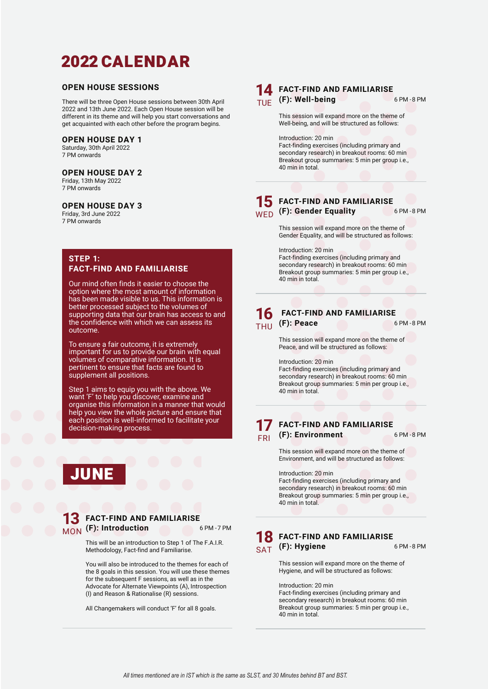# 2022 CALENDAR

# **OPEN HOUSE SESSIONS**

There will be three Open House sessions between 30th April 2022 and 13th June 2022. Each Open House session will be different in its theme and will help you start conversations and get acquainted with each other before the program begins.

# **OPEN HOUSE DAY 1**

Saturday, 30th April 2022 7 PM onwards

## **OPEN HOUSE DAY 2**

Friday, 13th May 2022 7 PM onwards

# **OPEN HOUSE DAY 3**

Friday, 3rd June 2022 7 PM onwards

# **STEP 1: FACT-FIND AND FAMILIARISE**

Our mind often finds it easier to choose the option where the most amount of information has been made visible to us. This information is better processed subject to the volumes of supporting data that our brain has access to and the confidence with which we can assess its outcome.

To ensure a fair outcome, it is extremely important for us to provide our brain with equal volumes of comparative information. It is pertinent to ensure that facts are found to supplement all positions.

Step 1 aims to equip you with the above. We want 'F' to help you discover, examine and organise this information in a manner that would help you view the whole picture and ensure that each position is well-informed to facilitate your decision-making process.

# JUNE

# **13** FACT-FIND AND FAMILIARISE **MON** (F): Introduction **6 PM - 7 PM**

This will be an introduction to Step 1 of The F.A.I.R. Methodology, Fact-find and Familiarise.

You will also be introduced to the themes for each of the 8 goals in this session. You will use these themes for the subsequent F sessions, as well as in the Advocate for Alternate Viewpoints (A), Introspection (I) and Reason & Rationalise (R) sessions.

All Changemakers will conduct 'F' for all 8 goals.



# **14 FACT-FIND AND FAMILIARISE TUE (F): Well-being Contract Contract Contract Contract Contract Contract Contract Contract Contract Contract Contract Contract Contract Contract Contract Contract Contract Contract Contract Contract Contract Contract Con**

This session will expand more on the theme of Well-being, and will be structured as follows:

Introduction: 20 min Fact-finding exercises (including primary and secondary research) in breakout rooms: 60 min Breakout group summaries: 5 min per group i.e., 40 min in total.

# **15** FACT-FIND AND FAMILIARISE **WED** (F): Gender Equality **6 PM - 8 PM**

This session will expand more on the theme of Gender Equality, and will be structured as follows:

Introduction: 20 min Fact-finding exercises (including primary and secondary research) in breakout rooms: 60 min Breakout group summaries: 5 min per group i.e., 40 min in total.

# **FACT-FIND AND FAMILIARISE 16** FACT-FIND AND FAMILIARISE<br>THILL (F): Peace 6PM-8PM THU

This session will expand more on the theme of Peace, and will be structured as follows:

Introduction: 20 min Fact-finding exercises (including primary and secondary research) in breakout rooms: 60 min

Breakout group summaries: 5 min per group i.e., 40 min in total.

### **17** FRI **FACT-FIND AND FAMILIARISE (F): Environment** 6 PM - 8 PM

This session will expand more on the theme of Environment, and will be structured as follows:

Introduction: 20 min Fact-finding exercises (including primary and secondary research) in breakout rooms: 60 min Breakout group summaries: 5 min per group i.e., 40 min in total.

# **FACT-FIND AND FAMILIARISE 18** FACT-FIND AND FAMILIARISE<br>
SAT (F): Hygiene 6PM-8PM SAT

This session will expand more on the theme of Hygiene, and will be structured as follows:

Introduction: 20 min Fact-finding exercises (including primary and secondary research) in breakout rooms: 60 min Breakout group summaries: 5 min per group i.e., 40 min in total.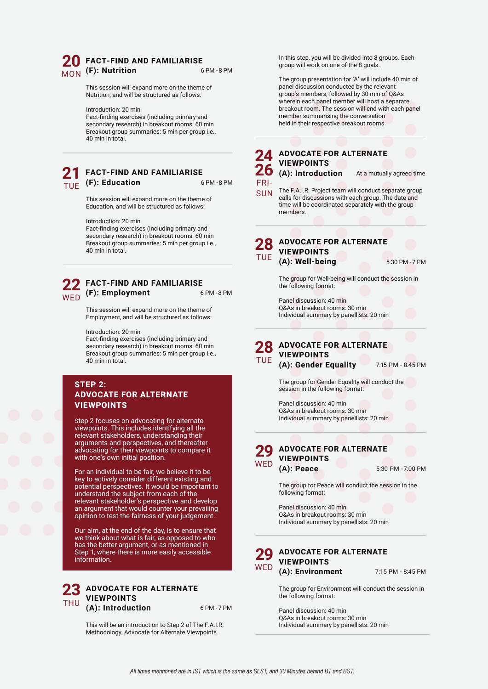# **20 MON** (F): Nutrition 6 PM - 8 PM **FACT-FIND AND FAMILIARISE**

This session will expand more on the theme of Nutrition, and will be structured as follows:

Introduction: 20 min

Fact-finding exercises (including primary and secondary research) in breakout rooms: 60 min Breakout group summaries: 5 min per group i.e., 40 min in total.

## **21 TUE (F): Education** 6 PM - 8 PM **FACT-FIND AND FAMILIARISE**

This session will expand more on the theme of Education, and will be structured as follows:

Introduction: 20 min

Fact-finding exercises (including primary and secondary research) in breakout rooms: 60 min Breakout group summaries: 5 min per group i.e., 40 min in total.

# **22 WED** (F): Employment 6 PM - 8 PM **FACT-FIND AND FAMILIARISE**

This session will expand more on the theme of Employment, and will be structured as follows:

Introduction: 20 min

Fact-finding exercises (including primary and secondary research) in breakout rooms: 60 min Breakout group summaries: 5 min per group i.e., 40 min in total.

# **STEP 2: ADVOCATE FOR ALTERNATE VIEWPOINTS**

Step 2 focuses on advocating for alternate viewpoints. This includes identifying all the relevant stakeholders, understanding their arguments and perspectives, and thereafter advocating for their viewpoints to compare it with one's own initial position.

For an individual to be fair, we believe it to be key to actively consider different existing and potential perspectives. It would be important to understand the subject from each of the relevant stakeholder's perspective and develop an argument that would counter your prevailing opinion to test the fairness of your judgement.

Our aim, at the end of the day, is to ensure that we think about what is fair, as opposed to who has the better argument, or as mentioned in Step 1, where there is more easily accessible information.

#### **23** THU **ADVOCATE FOR ALTERNATE VIEWPOINTS (A): Introduction** 6 PM - 7 PM

This will be an introduction to Step 2 of The F.A.I.R. Individual summary by panellists: 20 min Methodology, Advocate for Alternate Viewpoints.

In this step, you will be divided into 8 groups. Each group will work on one of the 8 goals.

The group presentation for 'A' will include 40 min of panel discussion conducted by the relevant group's members, followed by 30 min of Q&As wherein each panel member will host a separate breakout room. The session will end with each panel member summarising the conversation held in their respective breakout rooms

### **24 2** (A): Introduction **ADVOCATE FOR ALTERNATE VIEWPOINTS**

FRI-

At a mutually agreed time

SUN The F.A.I.R. Project team will conduct separate group<br>SUN calls for discussions with each group. The date and calls for discussions with each group. The date and time will be coordinated separately with the group members.

#### **ADVOCATE FOR ALTERNATE VIEWPOINTS (A): Well-being** 5:30 PM - 7 PM **28** TUE

The group for Well-being will conduct the session in the following format:

Panel discussion: 40 min Q&As in breakout rooms: 30 min Individual summary by panellists: 20 min

#### **ADVOCATE FOR ALTERNATE VIEWPOINTS (A): Gender Equality** 7:15 PM - 8:45 PM **28** TUE

The group for Gender Equality will conduct the session in the following format:

Panel discussion: 40 min Q&As in breakout rooms: 30 min Individual summary by panellists: 20 min



**(A): Peace** 5:30 PM - 7:00 PM

The group for Peace will conduct the session in the following format:

Panel discussion: 40 min Q&As in breakout rooms: 30 min Individual summary by panellists: 20 min



The group for Environment will conduct the session in the following format:

Panel discussion: 40 min Q&As in breakout rooms: 30 min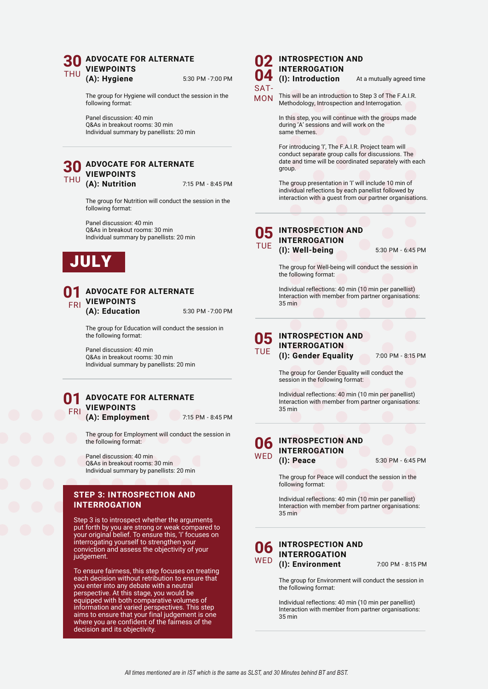#### **30** THU **ADVOCATE FOR ALTERNATE VIEWPOINTS (A): Hygiene** 5:30 PM - 7:00 PM

The group for Hygiene will conduct the session in the following format:

Panel discussion: 40 min Q&As in breakout rooms: 30 min Individual summary by panellists: 20 min

#### **30** THU **ADVOCATE FOR ALTERNATE VIEWPOINTS (A): Nutrition** 7:15 PM - 8:45 PM

The group for Nutrition will conduct the session in the following format:

Panel discussion: 40 min Q&As in breakout rooms: 30 min Individual summary by panellists: 20 min



#### **01** FRI **ADVOCATE FOR ALTERNATE VIEWPOINTS (A): Education** 5:30 PM - 7:00 PM

The group for Education will conduct the session in the following format:

Panel discussion: 40 min Q&As in breakout rooms: 30 min Individual summary by panellists: 20 min

#### **01**  $\sqrt{FR}$ **ADVOCATE FOR ALTERNATE VIEWPOINTS (A): Employment** 7:15 PM - 8:45 PM

The group for Employment will conduct the session in the following format:

Panel discussion: 40 min Q&As in breakout rooms: 30 min Individual summary by panellists: 20 min

# **STEP 3: INTROSPECTION AND INTERROGATION**

Step 3 is to introspect whether the arguments put forth by you are strong or weak compared to your original belief. To ensure this, 'I' focuses on interrogating yourself to strengthen your conviction and assess the objectivity of your judgement.

To ensure fairness, this step focuses on treating each decision without retribution to ensure that you enter into any debate with a neutral perspective. At this stage, you would be equipped with both comparative volumes of information and varied perspectives. This step aims to ensure that your final judgement is one where you are confident of the fairness of the decision and its objectivity.

## **02 04 INTROSPECTION AND INTERROGATION**<br>(**l**): Introduction

 $SAT-$ 

**(I): Introduction** At a mutually agreed time

MON This will be an introduction to Step 3 of The F.A.I.R. Methodology, Introspection and Interrogation.

> In this step, you will continue with the groups made during 'A' sessions and will work on the same themes.

For introducing 'I', The F.A.I.R. Project team will conduct separate group calls for discussions. The date and time will be coordinated separately with each group.

The group presentation in 'I' will include 10 min of individual reflections by each panellist followed by interaction with a guest from our partner organisations.

### **O5** INTROSPECTION AND **INTERROGATION (I): Well-being** 5:30 PM - 6:45 PM TUE

The group for Well-being will conduct the session in the following format:

Individual reflections: 40 min (10 min per panellist) Interaction with member from partner organisations: 35 min

**05** TUE **INTROSPECTION AND INTERROGATION**

**(I): Gender Equality** 7:00 PM - 8:15 PM

The group for Gender Equality will conduct the session in the following format:

Individual reflections: 40 min (10 min per panellist) Interaction with member from partner organisations: 35 min

#### **06 WFD INTROSPECTION AND INTERROGATION (I): Peace** 5:30 PM - 6:45 PM

The group for Peace will conduct the session in the following format:

Individual reflections: 40 min (10 min per panellist) Interaction with member from partner organisations: 35 min

#### **06 WFD INTROSPECTION AND INTERROGATION (I): Environment** 7:00 PM - 8:15 PM

The group for Environment will conduct the session in the following format:

Individual reflections: 40 min (10 min per panellist) Interaction with member from partner organisations: 35 min